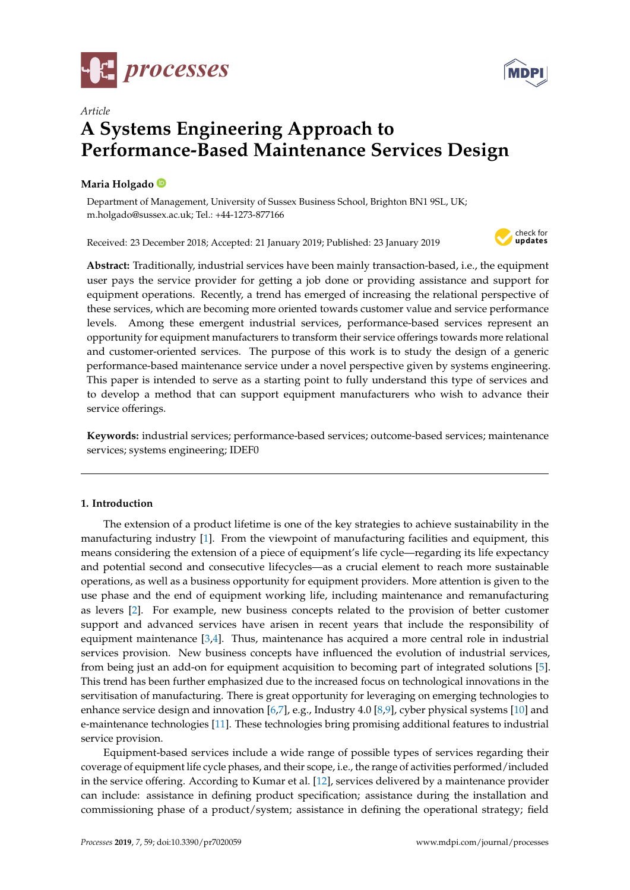



# *Article* **A Systems Engineering Approach to Performance-Based Maintenance Services Design**

## **Maria Holgado**

Department of Management, University of Sussex Business School, Brighton BN1 9SL, UK; m.holgado@sussex.ac.uk; Tel.: +44-1273-877166

Received: 23 December 2018; Accepted: 21 January 2019; Published: 23 January 2019



**Abstract:** Traditionally, industrial services have been mainly transaction-based, i.e., the equipment user pays the service provider for getting a job done or providing assistance and support for equipment operations. Recently, a trend has emerged of increasing the relational perspective of these services, which are becoming more oriented towards customer value and service performance levels. Among these emergent industrial services, performance-based services represent an opportunity for equipment manufacturers to transform their service offerings towards more relational and customer-oriented services. The purpose of this work is to study the design of a generic performance-based maintenance service under a novel perspective given by systems engineering. This paper is intended to serve as a starting point to fully understand this type of services and to develop a method that can support equipment manufacturers who wish to advance their service offerings.

**Keywords:** industrial services; performance-based services; outcome-based services; maintenance services; systems engineering; IDEF0

## **1. Introduction**

The extension of a product lifetime is one of the key strategies to achieve sustainability in the manufacturing industry [\[1\]](#page-10-0). From the viewpoint of manufacturing facilities and equipment, this means considering the extension of a piece of equipment's life cycle—regarding its life expectancy and potential second and consecutive lifecycles—as a crucial element to reach more sustainable operations, as well as a business opportunity for equipment providers. More attention is given to the use phase and the end of equipment working life, including maintenance and remanufacturing as levers [\[2\]](#page-10-1). For example, new business concepts related to the provision of better customer support and advanced services have arisen in recent years that include the responsibility of equipment maintenance [\[3,](#page-10-2)[4\]](#page-10-3). Thus, maintenance has acquired a more central role in industrial services provision. New business concepts have influenced the evolution of industrial services, from being just an add-on for equipment acquisition to becoming part of integrated solutions [\[5\]](#page-10-4). This trend has been further emphasized due to the increased focus on technological innovations in the servitisation of manufacturing. There is great opportunity for leveraging on emerging technologies to enhance service design and innovation [\[6,](#page-10-5)[7\]](#page-10-6), e.g., Industry 4.0 [\[8](#page-10-7)[,9\]](#page-10-8), cyber physical systems [\[10\]](#page-10-9) and e-maintenance technologies [\[11\]](#page-10-10). These technologies bring promising additional features to industrial service provision.

Equipment-based services include a wide range of possible types of services regarding their coverage of equipment life cycle phases, and their scope, i.e., the range of activities performed/included in the service offering. According to Kumar et al. [\[12\]](#page-10-11), services delivered by a maintenance provider can include: assistance in defining product specification; assistance during the installation and commissioning phase of a product/system; assistance in defining the operational strategy; field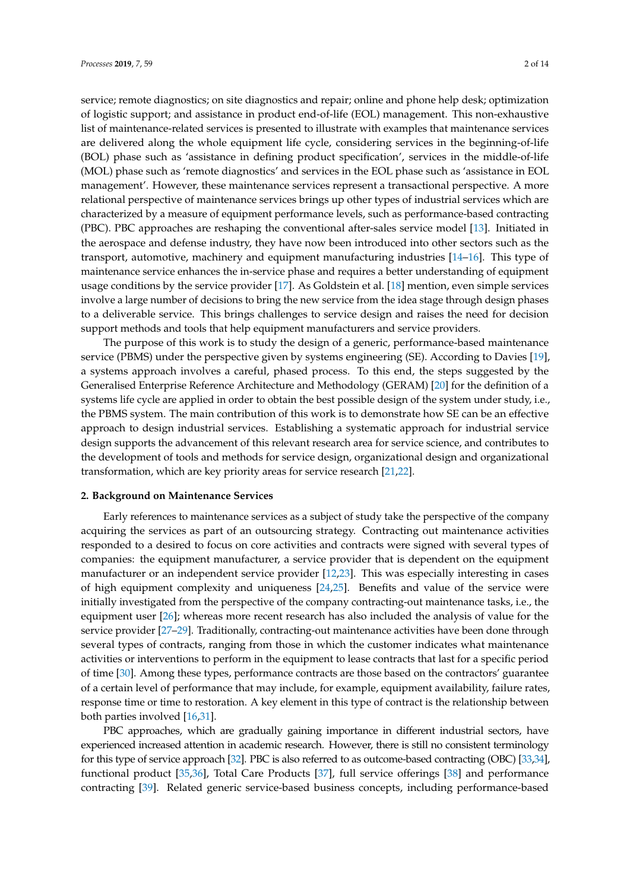service; remote diagnostics; on site diagnostics and repair; online and phone help desk; optimization of logistic support; and assistance in product end-of-life (EOL) management. This non-exhaustive list of maintenance-related services is presented to illustrate with examples that maintenance services are delivered along the whole equipment life cycle, considering services in the beginning-of-life (BOL) phase such as 'assistance in defining product specification', services in the middle-of-life (MOL) phase such as 'remote diagnostics' and services in the EOL phase such as 'assistance in EOL management'. However, these maintenance services represent a transactional perspective. A more relational perspective of maintenance services brings up other types of industrial services which are characterized by a measure of equipment performance levels, such as performance-based contracting (PBC). PBC approaches are reshaping the conventional after-sales service model [\[13\]](#page-10-12). Initiated in the aerospace and defense industry, they have now been introduced into other sectors such as the transport, automotive, machinery and equipment manufacturing industries [\[14–](#page-10-13)[16\]](#page-10-14). This type of maintenance service enhances the in-service phase and requires a better understanding of equipment usage conditions by the service provider [\[17\]](#page-10-15). As Goldstein et al. [\[18\]](#page-10-16) mention, even simple services involve a large number of decisions to bring the new service from the idea stage through design phases to a deliverable service. This brings challenges to service design and raises the need for decision support methods and tools that help equipment manufacturers and service providers.

The purpose of this work is to study the design of a generic, performance-based maintenance service (PBMS) under the perspective given by systems engineering (SE). According to Davies [\[19\]](#page-10-17), a systems approach involves a careful, phased process. To this end, the steps suggested by the Generalised Enterprise Reference Architecture and Methodology (GERAM) [\[20\]](#page-10-18) for the definition of a systems life cycle are applied in order to obtain the best possible design of the system under study, i.e., the PBMS system. The main contribution of this work is to demonstrate how SE can be an effective approach to design industrial services. Establishing a systematic approach for industrial service design supports the advancement of this relevant research area for service science, and contributes to the development of tools and methods for service design, organizational design and organizational transformation, which are key priority areas for service research [\[21](#page-11-0)[,22\]](#page-11-1).

#### **2. Background on Maintenance Services**

Early references to maintenance services as a subject of study take the perspective of the company acquiring the services as part of an outsourcing strategy. Contracting out maintenance activities responded to a desired to focus on core activities and contracts were signed with several types of companies: the equipment manufacturer, a service provider that is dependent on the equipment manufacturer or an independent service provider [\[12,](#page-10-11)[23\]](#page-11-2). This was especially interesting in cases of high equipment complexity and uniqueness [\[24](#page-11-3)[,25\]](#page-11-4). Benefits and value of the service were initially investigated from the perspective of the company contracting-out maintenance tasks, i.e., the equipment user [\[26\]](#page-11-5); whereas more recent research has also included the analysis of value for the service provider [\[27](#page-11-6)[–29\]](#page-11-7). Traditionally, contracting-out maintenance activities have been done through several types of contracts, ranging from those in which the customer indicates what maintenance activities or interventions to perform in the equipment to lease contracts that last for a specific period of time [\[30\]](#page-11-8). Among these types, performance contracts are those based on the contractors' guarantee of a certain level of performance that may include, for example, equipment availability, failure rates, response time or time to restoration. A key element in this type of contract is the relationship between both parties involved [\[16](#page-10-14)[,31\]](#page-11-9).

PBC approaches, which are gradually gaining importance in different industrial sectors, have experienced increased attention in academic research. However, there is still no consistent terminology for this type of service approach [\[32\]](#page-11-10). PBC is also referred to as outcome-based contracting (OBC) [\[33,](#page-11-11)[34\]](#page-11-12), functional product [\[35](#page-11-13)[,36\]](#page-11-14), Total Care Products [\[37\]](#page-11-15), full service offerings [\[38\]](#page-11-16) and performance contracting [\[39\]](#page-11-17). Related generic service-based business concepts, including performance-based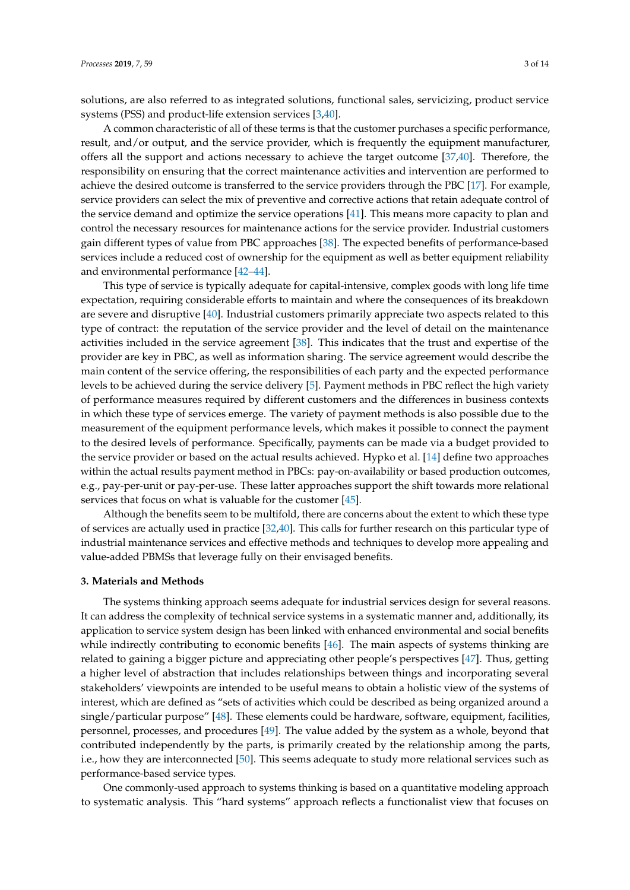solutions, are also referred to as integrated solutions, functional sales, servicizing, product service systems (PSS) and product-life extension services [\[3](#page-10-2)[,40\]](#page-11-18).

A common characteristic of all of these terms is that the customer purchases a specific performance, result, and/or output, and the service provider, which is frequently the equipment manufacturer, offers all the support and actions necessary to achieve the target outcome [\[37](#page-11-15)[,40\]](#page-11-18). Therefore, the responsibility on ensuring that the correct maintenance activities and intervention are performed to achieve the desired outcome is transferred to the service providers through the PBC [\[17\]](#page-10-15). For example, service providers can select the mix of preventive and corrective actions that retain adequate control of the service demand and optimize the service operations [\[41\]](#page-11-19). This means more capacity to plan and control the necessary resources for maintenance actions for the service provider. Industrial customers gain different types of value from PBC approaches [\[38\]](#page-11-16). The expected benefits of performance-based services include a reduced cost of ownership for the equipment as well as better equipment reliability and environmental performance [\[42–](#page-11-20)[44\]](#page-11-21).

This type of service is typically adequate for capital-intensive, complex goods with long life time expectation, requiring considerable efforts to maintain and where the consequences of its breakdown are severe and disruptive [\[40\]](#page-11-18). Industrial customers primarily appreciate two aspects related to this type of contract: the reputation of the service provider and the level of detail on the maintenance activities included in the service agreement [\[38\]](#page-11-16). This indicates that the trust and expertise of the provider are key in PBC, as well as information sharing. The service agreement would describe the main content of the service offering, the responsibilities of each party and the expected performance levels to be achieved during the service delivery [\[5\]](#page-10-4). Payment methods in PBC reflect the high variety of performance measures required by different customers and the differences in business contexts in which these type of services emerge. The variety of payment methods is also possible due to the measurement of the equipment performance levels, which makes it possible to connect the payment to the desired levels of performance. Specifically, payments can be made via a budget provided to the service provider or based on the actual results achieved. Hypko et al. [\[14\]](#page-10-13) define two approaches within the actual results payment method in PBCs: pay-on-availability or based production outcomes, e.g., pay-per-unit or pay-per-use. These latter approaches support the shift towards more relational services that focus on what is valuable for the customer [\[45\]](#page-11-22).

Although the benefits seem to be multifold, there are concerns about the extent to which these type of services are actually used in practice [\[32,](#page-11-10)[40\]](#page-11-18). This calls for further research on this particular type of industrial maintenance services and effective methods and techniques to develop more appealing and value-added PBMSs that leverage fully on their envisaged benefits.

#### **3. Materials and Methods**

The systems thinking approach seems adequate for industrial services design for several reasons. It can address the complexity of technical service systems in a systematic manner and, additionally, its application to service system design has been linked with enhanced environmental and social benefits while indirectly contributing to economic benefits [\[46\]](#page-12-0). The main aspects of systems thinking are related to gaining a bigger picture and appreciating other people's perspectives [\[47\]](#page-12-1). Thus, getting a higher level of abstraction that includes relationships between things and incorporating several stakeholders' viewpoints are intended to be useful means to obtain a holistic view of the systems of interest, which are defined as "sets of activities which could be described as being organized around a single/particular purpose" [\[48\]](#page-12-2). These elements could be hardware, software, equipment, facilities, personnel, processes, and procedures [\[49\]](#page-12-3). The value added by the system as a whole, beyond that contributed independently by the parts, is primarily created by the relationship among the parts, i.e., how they are interconnected [\[50\]](#page-12-4). This seems adequate to study more relational services such as performance-based service types.

One commonly-used approach to systems thinking is based on a quantitative modeling approach to systematic analysis. This "hard systems" approach reflects a functionalist view that focuses on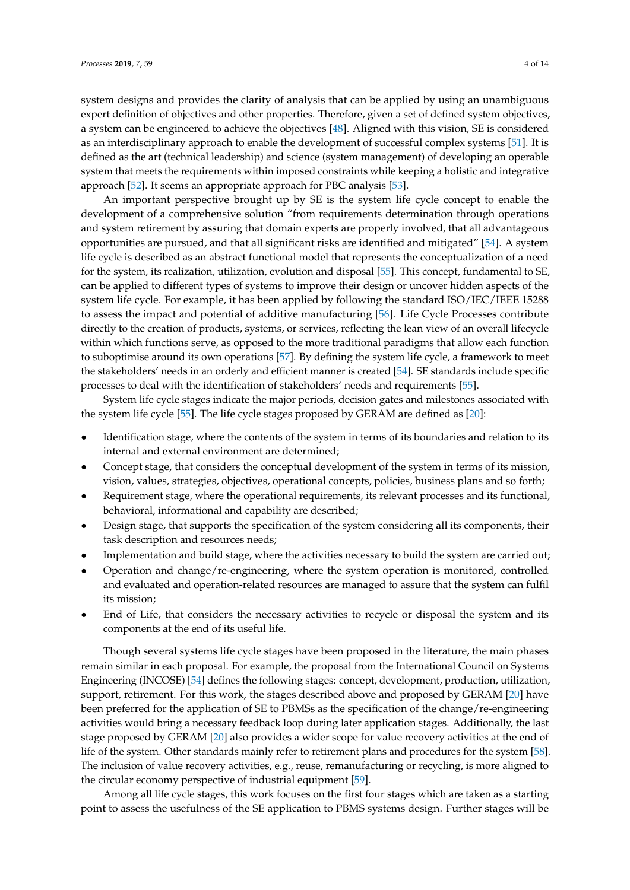system designs and provides the clarity of analysis that can be applied by using an unambiguous expert definition of objectives and other properties. Therefore, given a set of defined system objectives, a system can be engineered to achieve the objectives [\[48\]](#page-12-2). Aligned with this vision, SE is considered as an interdisciplinary approach to enable the development of successful complex systems [\[51\]](#page-12-5). It is defined as the art (technical leadership) and science (system management) of developing an operable system that meets the requirements within imposed constraints while keeping a holistic and integrative approach [\[52\]](#page-12-6). It seems an appropriate approach for PBC analysis [\[53\]](#page-12-7).

An important perspective brought up by SE is the system life cycle concept to enable the development of a comprehensive solution "from requirements determination through operations and system retirement by assuring that domain experts are properly involved, that all advantageous opportunities are pursued, and that all significant risks are identified and mitigated" [\[54\]](#page-12-8). A system life cycle is described as an abstract functional model that represents the conceptualization of a need for the system, its realization, utilization, evolution and disposal [\[55\]](#page-12-9). This concept, fundamental to SE, can be applied to different types of systems to improve their design or uncover hidden aspects of the system life cycle. For example, it has been applied by following the standard ISO/IEC/IEEE 15288 to assess the impact and potential of additive manufacturing [\[56\]](#page-12-10). Life Cycle Processes contribute directly to the creation of products, systems, or services, reflecting the lean view of an overall lifecycle within which functions serve, as opposed to the more traditional paradigms that allow each function to suboptimise around its own operations [\[57\]](#page-12-11). By defining the system life cycle, a framework to meet the stakeholders' needs in an orderly and efficient manner is created [\[54\]](#page-12-8). SE standards include specific processes to deal with the identification of stakeholders' needs and requirements [\[55\]](#page-12-9).

System life cycle stages indicate the major periods, decision gates and milestones associated with the system life cycle [\[55\]](#page-12-9). The life cycle stages proposed by GERAM are defined as [\[20\]](#page-10-18):

- Identification stage, where the contents of the system in terms of its boundaries and relation to its internal and external environment are determined;
- Concept stage, that considers the conceptual development of the system in terms of its mission, vision, values, strategies, objectives, operational concepts, policies, business plans and so forth;
- Requirement stage, where the operational requirements, its relevant processes and its functional, behavioral, informational and capability are described;
- Design stage, that supports the specification of the system considering all its components, their task description and resources needs;
- Implementation and build stage, where the activities necessary to build the system are carried out;
- Operation and change/re-engineering, where the system operation is monitored, controlled and evaluated and operation-related resources are managed to assure that the system can fulfil its mission;
- End of Life, that considers the necessary activities to recycle or disposal the system and its components at the end of its useful life.

Though several systems life cycle stages have been proposed in the literature, the main phases remain similar in each proposal. For example, the proposal from the International Council on Systems Engineering (INCOSE) [\[54\]](#page-12-8) defines the following stages: concept, development, production, utilization, support, retirement. For this work, the stages described above and proposed by GERAM [\[20\]](#page-10-18) have been preferred for the application of SE to PBMSs as the specification of the change/re-engineering activities would bring a necessary feedback loop during later application stages. Additionally, the last stage proposed by GERAM [\[20\]](#page-10-18) also provides a wider scope for value recovery activities at the end of life of the system. Other standards mainly refer to retirement plans and procedures for the system [\[58\]](#page-12-12). The inclusion of value recovery activities, e.g., reuse, remanufacturing or recycling, is more aligned to the circular economy perspective of industrial equipment [\[59\]](#page-12-13).

Among all life cycle stages, this work focuses on the first four stages which are taken as a starting point to assess the usefulness of the SE application to PBMS systems design. Further stages will be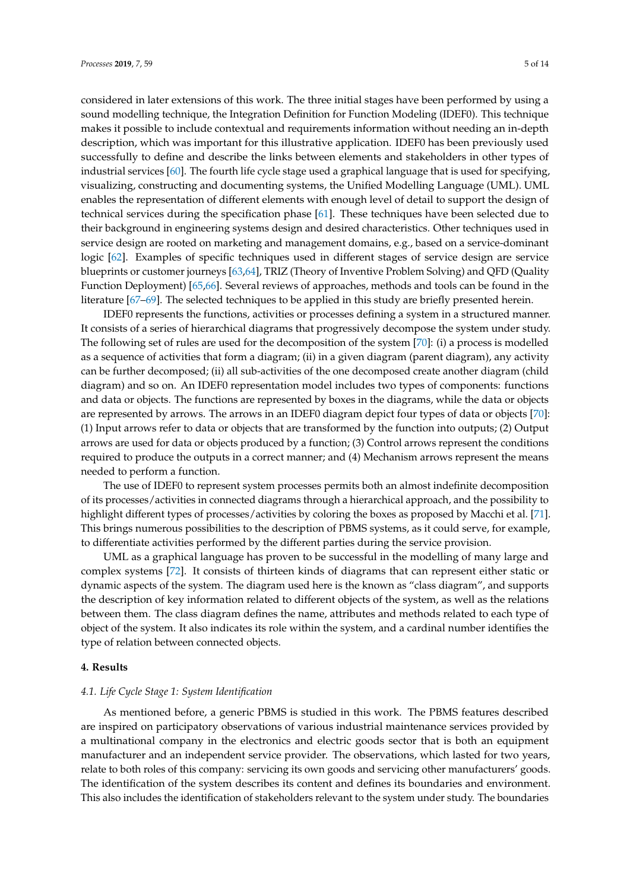considered in later extensions of this work. The three initial stages have been performed by using a sound modelling technique, the Integration Definition for Function Modeling (IDEF0). This technique makes it possible to include contextual and requirements information without needing an in-depth description, which was important for this illustrative application. IDEF0 has been previously used successfully to define and describe the links between elements and stakeholders in other types of industrial services [\[60\]](#page-12-14). The fourth life cycle stage used a graphical language that is used for specifying, visualizing, constructing and documenting systems, the Unified Modelling Language (UML). UML enables the representation of different elements with enough level of detail to support the design of technical services during the specification phase [\[61\]](#page-12-15). These techniques have been selected due to their background in engineering systems design and desired characteristics. Other techniques used in service design are rooted on marketing and management domains, e.g., based on a service-dominant logic [\[62\]](#page-12-16). Examples of specific techniques used in different stages of service design are service blueprints or customer journeys [\[63](#page-12-17)[,64\]](#page-12-18), TRIZ (Theory of Inventive Problem Solving) and QFD (Quality Function Deployment) [\[65](#page-12-19)[,66\]](#page-12-20). Several reviews of approaches, methods and tools can be found in the literature [\[67–](#page-12-21)[69\]](#page-12-22). The selected techniques to be applied in this study are briefly presented herein.

IDEF0 represents the functions, activities or processes defining a system in a structured manner. It consists of a series of hierarchical diagrams that progressively decompose the system under study. The following set of rules are used for the decomposition of the system [\[70\]](#page-12-23): (i) a process is modelled as a sequence of activities that form a diagram; (ii) in a given diagram (parent diagram), any activity can be further decomposed; (ii) all sub-activities of the one decomposed create another diagram (child diagram) and so on. An IDEF0 representation model includes two types of components: functions and data or objects. The functions are represented by boxes in the diagrams, while the data or objects are represented by arrows. The arrows in an IDEF0 diagram depict four types of data or objects [\[70\]](#page-12-23): (1) Input arrows refer to data or objects that are transformed by the function into outputs; (2) Output arrows are used for data or objects produced by a function; (3) Control arrows represent the conditions required to produce the outputs in a correct manner; and (4) Mechanism arrows represent the means needed to perform a function.

The use of IDEF0 to represent system processes permits both an almost indefinite decomposition of its processes/activities in connected diagrams through a hierarchical approach, and the possibility to highlight different types of processes/activities by coloring the boxes as proposed by Macchi et al. [\[71\]](#page-12-24). This brings numerous possibilities to the description of PBMS systems, as it could serve, for example, to differentiate activities performed by the different parties during the service provision.

UML as a graphical language has proven to be successful in the modelling of many large and complex systems [\[72\]](#page-13-0). It consists of thirteen kinds of diagrams that can represent either static or dynamic aspects of the system. The diagram used here is the known as "class diagram", and supports the description of key information related to different objects of the system, as well as the relations between them. The class diagram defines the name, attributes and methods related to each type of object of the system. It also indicates its role within the system, and a cardinal number identifies the type of relation between connected objects.

### **4. Results**

#### *4.1. Life Cycle Stage 1: System Identification*

As mentioned before, a generic PBMS is studied in this work. The PBMS features described are inspired on participatory observations of various industrial maintenance services provided by a multinational company in the electronics and electric goods sector that is both an equipment manufacturer and an independent service provider. The observations, which lasted for two years, relate to both roles of this company: servicing its own goods and servicing other manufacturers' goods. The identification of the system describes its content and defines its boundaries and environment. This also includes the identification of stakeholders relevant to the system under study. The boundaries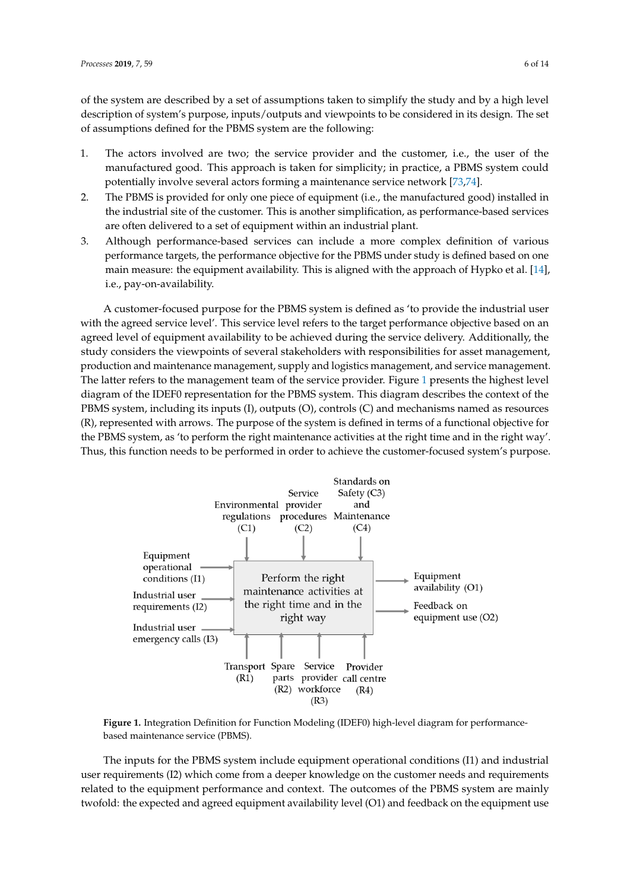of the system are described by a set of assumptions taken to simplify the study and by a high level or the system are described by a set or assumptions taken to simplify the study and by a high lever<br>description of system's purpose, inputs/outputs and viewpoints to be considered in its design. The set of assumptions defined for the PBMS system are the following:

- 1. The actors involved are two; the service provider and the customer, i.e., the user of the 1. The actors inverved are two, are service provider and the castomer, her, the aser of the manufactured good. This approach is taken for simplicity; in practice, a PBMS system could potentially involve several actors forming a maintenance service network [\[73,](#page-13-1)74]. services are often delivered to a set of equipment within an industrial plant.
	- 2. The PBMS is provided for only one piece of equipment (i.e., the manufactured good) installed in the industrial site of the customer. This is another simplification, as performance-based services<br>see often delivered to a set of exvirance tavithin an industrial plant. are often delivered to a set of equipment within an industrial plant.
- 3. Although performance-based services can include a more complex definition of various performance targets, the performance objective for the PBMS under study is defined based on one performance angels, the performance objective for the FBMB dilder study is defined based on one main measure: the equipment availability. This is aligned with the approach of Hypko et al. [\[14\]](#page-10-13), i.e., pay-on-availability.

A customer-focused purpose for the PBMS system is defined as 'to provide the industrial user with the agreed service level'. This service level refers to the target performance objective based on an agreed level of equipment availability to be achieved during the service delivery. Additionally, the study considers the viewpoints of several stakeholders with responsibilities for asset management, production and maintenance management, supply and logistics management, and service management. production and manuculate management, supply and oglodes management, and service management.<br>The latter refers to the management team of the service provider. Figure [1](#page-5-0) presents the highest level diagram of the IDEF0 representation for the PBMS system. This diagram describes the context of the PBMS system, including its inputs (I), outputs (O), controls (C) and mechanisms named as resources (R), represented with arrows. The purpose of the system is defined in terms of a functional objective for (K), represented with arrows. The purpose of the system is defined in terms of a functional objective for<br>the PBMS system, as 'to perform the right maintenance activities at the right time and in the right way'. Thus, this function needs to be performed in order to achieve the customer-focused system's purpose. the customer‐focused system's purpose.

<span id="page-5-0"></span>

**Figure I. Integration Definition for Integration Community** (IDEF0) high for the analysian for performance based maintenance service (PBMS). **Figure 1.** Integration Definition for Function Modeling (IDEF0) high-level diagram for performance-

related to the equipment performance and context. The outcomes of the PBMS system are mainly twofold: the expected and agreed equipment availability level (O1) and feedback on the equipment use The inputs for the PBMS system include equipment operational conditions (I1) and industrial user requirements (I2) which come from a deeper knowledge on the customer needs and requirements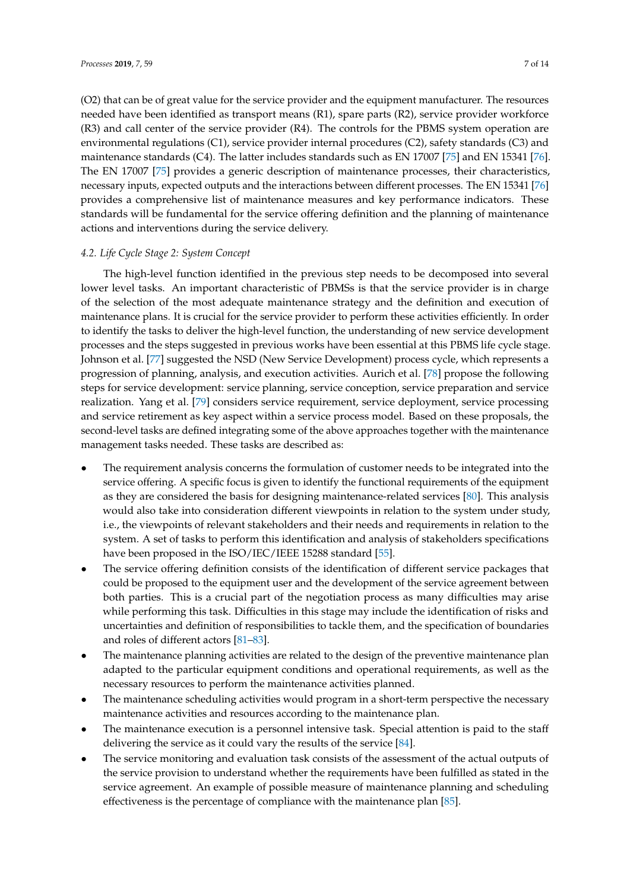(O2) that can be of great value for the service provider and the equipment manufacturer. The resources needed have been identified as transport means (R1), spare parts (R2), service provider workforce (R3) and call center of the service provider (R4). The controls for the PBMS system operation are environmental regulations (C1), service provider internal procedures (C2), safety standards (C3) and maintenance standards (C4). The latter includes standards such as EN 17007 [\[75\]](#page-13-3) and EN 15341 [\[76\]](#page-13-4). The EN 17007 [\[75\]](#page-13-3) provides a generic description of maintenance processes, their characteristics, necessary inputs, expected outputs and the interactions between different processes. The EN 15341 [\[76\]](#page-13-4) provides a comprehensive list of maintenance measures and key performance indicators. These standards will be fundamental for the service offering definition and the planning of maintenance actions and interventions during the service delivery.

## *4.2. Life Cycle Stage 2: System Concept*

The high-level function identified in the previous step needs to be decomposed into several lower level tasks. An important characteristic of PBMSs is that the service provider is in charge of the selection of the most adequate maintenance strategy and the definition and execution of maintenance plans. It is crucial for the service provider to perform these activities efficiently. In order to identify the tasks to deliver the high-level function, the understanding of new service development processes and the steps suggested in previous works have been essential at this PBMS life cycle stage. Johnson et al. [\[77\]](#page-13-5) suggested the NSD (New Service Development) process cycle, which represents a progression of planning, analysis, and execution activities. Aurich et al. [\[78\]](#page-13-6) propose the following steps for service development: service planning, service conception, service preparation and service realization. Yang et al. [\[79\]](#page-13-7) considers service requirement, service deployment, service processing and service retirement as key aspect within a service process model. Based on these proposals, the second-level tasks are defined integrating some of the above approaches together with the maintenance management tasks needed. These tasks are described as:

- The requirement analysis concerns the formulation of customer needs to be integrated into the service offering. A specific focus is given to identify the functional requirements of the equipment as they are considered the basis for designing maintenance-related services [\[80\]](#page-13-8). This analysis would also take into consideration different viewpoints in relation to the system under study, i.e., the viewpoints of relevant stakeholders and their needs and requirements in relation to the system. A set of tasks to perform this identification and analysis of stakeholders specifications have been proposed in the ISO/IEC/IEEE 15288 standard [\[55\]](#page-12-9).
- The service offering definition consists of the identification of different service packages that could be proposed to the equipment user and the development of the service agreement between both parties. This is a crucial part of the negotiation process as many difficulties may arise while performing this task. Difficulties in this stage may include the identification of risks and uncertainties and definition of responsibilities to tackle them, and the specification of boundaries and roles of different actors [\[81](#page-13-9)[–83\]](#page-13-10).
- The maintenance planning activities are related to the design of the preventive maintenance plan adapted to the particular equipment conditions and operational requirements, as well as the necessary resources to perform the maintenance activities planned.
- The maintenance scheduling activities would program in a short-term perspective the necessary maintenance activities and resources according to the maintenance plan.
- The maintenance execution is a personnel intensive task. Special attention is paid to the staff delivering the service as it could vary the results of the service [\[84\]](#page-13-11).
- The service monitoring and evaluation task consists of the assessment of the actual outputs of the service provision to understand whether the requirements have been fulfilled as stated in the service agreement. An example of possible measure of maintenance planning and scheduling effectiveness is the percentage of compliance with the maintenance plan [\[85\]](#page-13-12).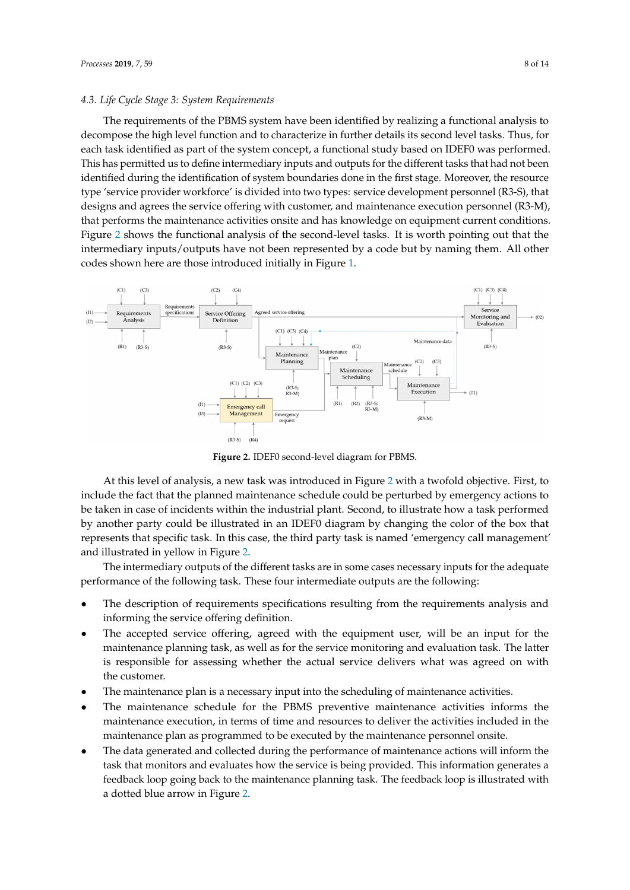#### *4.3. Life Cycle Stage 3: System Requirements*

The requirements of the PBMS system have been identified by realizing a functional analysis to decompose the high level function and to characterize in further details its second level tasks. Thus, for each task identified as part of the system concept, a functional study based on IDEF0 was performed. This has permitted us to define intermediary inputs and outputs for the different tasks that had not been identified during the identification of system boundaries done in the first stage. Moreover, the resource type 'service provider workforce' is divided into two types: service development personnel (R3-S), that designs and agrees the service offering with customer, and maintenance execution personnel (R3-M), that performs the maintenance activities onsite and has knowledge on equipment current conditions. Figure [2](#page-7-0) shows the functional analysis of the second-level tasks. It is worth pointing out that the intermediary inputs/outputs have not been represented by a code but by naming them. All other codes shown here are those introduced initially in Figure [1.](#page-5-0)

<span id="page-7-0"></span>

**Figure 2.** IDEF0 second‐level diagram for PBMS. **Figure 2.** IDEF0 second-level diagram for PBMS.

At this level of analysis, a new task was introduced in Figure 2 with a twofold objective. First, to At this level of analysis, a new task was introduced in Figure [2](#page-7-0) with a twofold objective. First, to include the fact that the planned maintenance schedule could be perturbed by emergency actions to include the fact that the planned maintenance schedule could be perturbed by emergency actions to be taken in case of incidents within the industrial plant. Second, to illustrate how a task performed be taken in case of incidents within the industrial plant. Second, to illustrate how a task performed by another party could be illustrated in an IDEF0 diagram by changing the color of the box that by another party could be illustrated in an IDEF0 diagram by changing the color of the box that represents that specific task. In this case, the third party task is named 'emergency call management' and illustrated in yellow in Figure [2.](#page-7-0)

The intermediary outputs of the different tasks are in some cases necessary inputs for the adequate performance of the following task. These four intermediate outputs are the following:

- The description of requirements specifications resulting from the requirements analysis and The description of requirements specifications resulting from the requirements analysis and informing the service offering definition. informing the service offering definition.
- The accepted service offering, agreed with the equipment user, will be an input for the The accepted service offering, agreed with the equipment user, will be an input for the maintenance planning task, as well as for the service monitoring and evaluation task. The latter maintenance planning task, as well as for the service monitoring and evaluation task. The latter is responsible for assessing whether the actual service delivers what was agreed on with the customer.
- The maintenance plan is a necessary input into the scheduling of maintenance activities. The maintenance plan is a necessary input into the scheduling of maintenance activities.
- The maintenance schedule for the PBMS preventive maintenance activities informs the The maintenance schedule for the PBMS preventive maintenance activities informs the maintenance execution, in terms of time and resources to deliver the activities included in the maintenance execution, in terms of time and resources to deliver the activities included in the maintenance plan as programmed to be executed by the maintenance personnel onsite. maintenance plan as programmed to be executed by the maintenance personnel onsite.
- The data generated and collected during the performance of maintenance actions will inform The data generated and collected during the performance of maintenance actions will inform the task that monitors and evaluates how the service is being provided. This information generates a feedback loop going back to the maintenance planning task. The feedback loop is illustrated with a dotted blue arrow in Figure [2.](#page-7-0)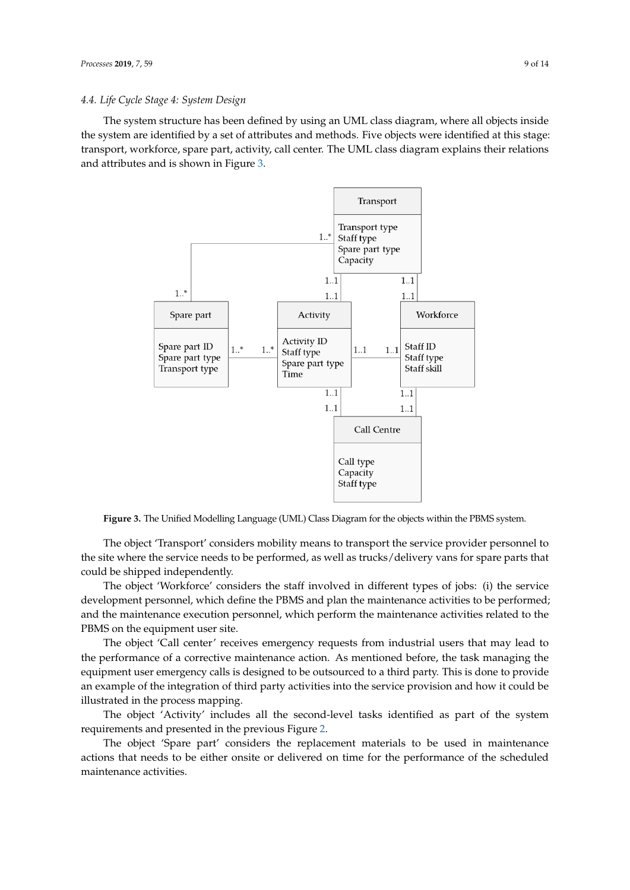## *4.4. Life Cycle Stage 4: System Design* requirements and present previous Figure 2. Previous Figure 2. Previous Figure 2. Previous Figure 2. Previous F

The system structure has been defined by using an UML class diagram, where all objects inside the system are identified by a set of attributes and methods. Five objects were identified at this stage: transport, workforce, spare part, activity, call center. The UML class diagram explains their relations and attributes and is shown in Figure [3.](#page-8-0)

<span id="page-8-0"></span>

**Figure 3.** The Unified Modelling Language (UML) Class Diagram for the objects within the PBMS **Figure 3.** The Unified Modelling Language (UML) Class Diagram for the objects within the PBMS system.

The object 'Transport' considers mobility means to transport the service provider personnel to the site where the service needs to be performed, as well as trucks/delivery vans for spare parts that could be shipped independently.

and the maintenance execution personnel, which perform the maintenance activities related to the<br>PBMS on the equipment user site. The object 'Workforce' considers the staff involved in different types of jobs: (i) the service development personnel, which define the PBMS and plan the maintenance activities to be performed; PBMS on the equipment user site.

The object 'Call center' receives emergency requests from industrial users that may lead to equipment user emergency calls is designed to be outsourced to a third party. This is done to provide an example of the integration of third party activities into the service provision and how it could be<br>illustrated in the process manning the performance of a corrective maintenance action. As mentioned before, the task managing the illustrated in the process mapping.

The object 'Activity' includes all the second-level tasks identified as part of the system requirements and presented in the previous Figure [2.](#page-7-0)

requirements and presented in the previous right 2.<br>The object 'Spare part' considers the replacement materials to be used in maintenance actions that needs to be either onsite or delivered on time for the performance of the scheduled perspective. Performance―based contracts are the understood as support services focusing on the understood as s maintenance activities.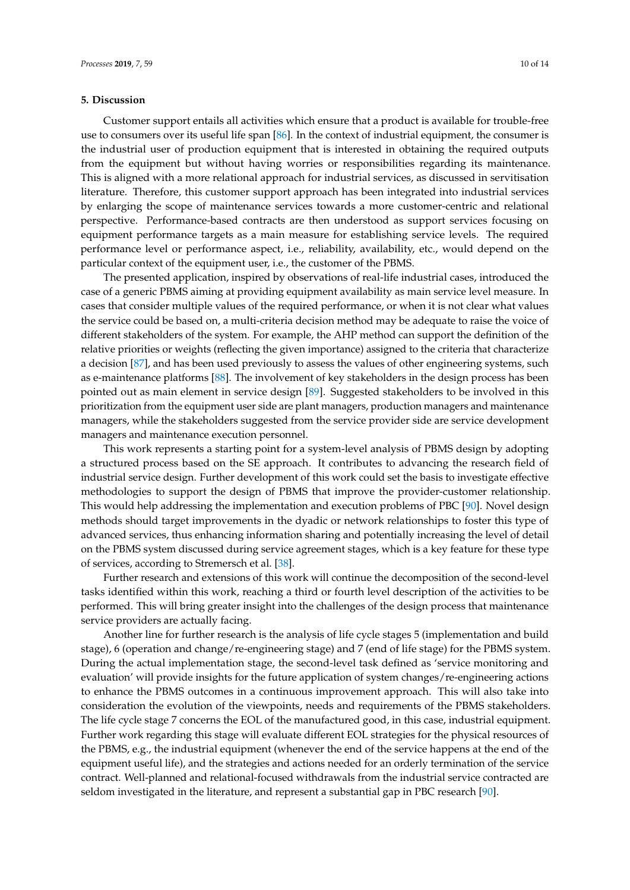#### **5. Discussion**

Customer support entails all activities which ensure that a product is available for trouble-free use to consumers over its useful life span [\[86\]](#page-13-13). In the context of industrial equipment, the consumer is the industrial user of production equipment that is interested in obtaining the required outputs from the equipment but without having worries or responsibilities regarding its maintenance. This is aligned with a more relational approach for industrial services, as discussed in servitisation literature. Therefore, this customer support approach has been integrated into industrial services by enlarging the scope of maintenance services towards a more customer-centric and relational perspective. Performance-based contracts are then understood as support services focusing on equipment performance targets as a main measure for establishing service levels. The required performance level or performance aspect, i.e., reliability, availability, etc., would depend on the particular context of the equipment user, i.e., the customer of the PBMS.

The presented application, inspired by observations of real-life industrial cases, introduced the case of a generic PBMS aiming at providing equipment availability as main service level measure. In cases that consider multiple values of the required performance, or when it is not clear what values the service could be based on, a multi-criteria decision method may be adequate to raise the voice of different stakeholders of the system. For example, the AHP method can support the definition of the relative priorities or weights (reflecting the given importance) assigned to the criteria that characterize a decision [\[87\]](#page-13-14), and has been used previously to assess the values of other engineering systems, such as e-maintenance platforms [\[88\]](#page-13-15). The involvement of key stakeholders in the design process has been pointed out as main element in service design [\[89\]](#page-13-16). Suggested stakeholders to be involved in this prioritization from the equipment user side are plant managers, production managers and maintenance managers, while the stakeholders suggested from the service provider side are service development managers and maintenance execution personnel.

This work represents a starting point for a system-level analysis of PBMS design by adopting a structured process based on the SE approach. It contributes to advancing the research field of industrial service design. Further development of this work could set the basis to investigate effective methodologies to support the design of PBMS that improve the provider-customer relationship. This would help addressing the implementation and execution problems of PBC [\[90\]](#page-13-17). Novel design methods should target improvements in the dyadic or network relationships to foster this type of advanced services, thus enhancing information sharing and potentially increasing the level of detail on the PBMS system discussed during service agreement stages, which is a key feature for these type of services, according to Stremersch et al. [\[38\]](#page-11-16).

Further research and extensions of this work will continue the decomposition of the second-level tasks identified within this work, reaching a third or fourth level description of the activities to be performed. This will bring greater insight into the challenges of the design process that maintenance service providers are actually facing.

Another line for further research is the analysis of life cycle stages 5 (implementation and build stage), 6 (operation and change/re-engineering stage) and 7 (end of life stage) for the PBMS system. During the actual implementation stage, the second-level task defined as 'service monitoring and evaluation' will provide insights for the future application of system changes/re-engineering actions to enhance the PBMS outcomes in a continuous improvement approach. This will also take into consideration the evolution of the viewpoints, needs and requirements of the PBMS stakeholders. The life cycle stage 7 concerns the EOL of the manufactured good, in this case, industrial equipment. Further work regarding this stage will evaluate different EOL strategies for the physical resources of the PBMS, e.g., the industrial equipment (whenever the end of the service happens at the end of the equipment useful life), and the strategies and actions needed for an orderly termination of the service contract. Well-planned and relational-focused withdrawals from the industrial service contracted are seldom investigated in the literature, and represent a substantial gap in PBC research [\[90\]](#page-13-17).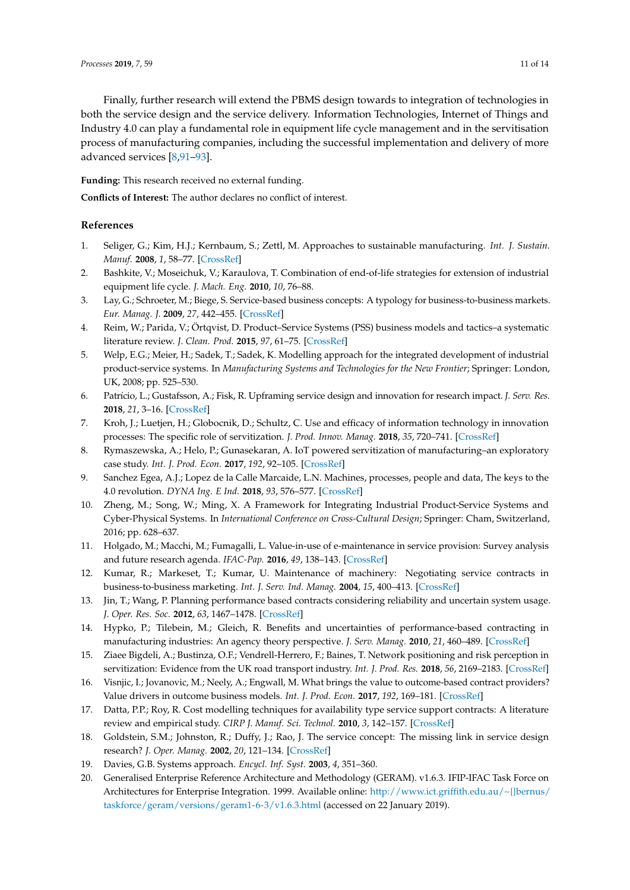Finally, further research will extend the PBMS design towards to integration of technologies in both the service design and the service delivery. Information Technologies, Internet of Things and Industry 4.0 can play a fundamental role in equipment life cycle management and in the servitisation process of manufacturing companies, including the successful implementation and delivery of more advanced services [\[8](#page-10-7)[,91–](#page-13-18)[93\]](#page-13-19).

**Funding:** This research received no external funding.

**Conflicts of Interest:** The author declares no conflict of interest.

# **References**

- <span id="page-10-0"></span>1. Seliger, G.; Kim, H.J.; Kernbaum, S.; Zettl, M. Approaches to sustainable manufacturing. *Int. J. Sustain. Manuf.* **2008**, *1*, 58–77. [\[CrossRef\]](http://dx.doi.org/10.1504/IJSM.2008.019227)
- <span id="page-10-1"></span>2. Bashkite, V.; Moseichuk, V.; Karaulova, T. Combination of end-of-life strategies for extension of industrial equipment life cycle. *J. Mach. Eng.* **2010**, *10*, 76–88.
- <span id="page-10-2"></span>3. Lay, G.; Schroeter, M.; Biege, S. Service-based business concepts: A typology for business-to-business markets. *Eur. Manag. J.* **2009**, *27*, 442–455. [\[CrossRef\]](http://dx.doi.org/10.1016/j.emj.2009.04.002)
- <span id="page-10-3"></span>4. Reim, W.; Parida, V.; Örtqvist, D. Product–Service Systems (PSS) business models and tactics–a systematic literature review. *J. Clean. Prod.* **2015**, *97*, 61–75. [\[CrossRef\]](http://dx.doi.org/10.1016/j.jclepro.2014.07.003)
- <span id="page-10-4"></span>5. Welp, E.G.; Meier, H.; Sadek, T.; Sadek, K. Modelling approach for the integrated development of industrial product-service systems. In *Manufacturing Systems and Technologies for the New Frontier*; Springer: London, UK, 2008; pp. 525–530.
- <span id="page-10-5"></span>6. Patrício, L.; Gustafsson, A.; Fisk, R. Upframing service design and innovation for research impact. *J. Serv. Res.* **2018**, *21*, 3–16. [\[CrossRef\]](http://dx.doi.org/10.1177/1094670517746780)
- <span id="page-10-6"></span>7. Kroh, J.; Luetjen, H.; Globocnik, D.; Schultz, C. Use and efficacy of information technology in innovation processes: The specific role of servitization. *J. Prod. Innov. Manag.* **2018**, *35*, 720–741. [\[CrossRef\]](http://dx.doi.org/10.1111/jpim.12445)
- <span id="page-10-7"></span>8. Rymaszewska, A.; Helo, P.; Gunasekaran, A. IoT powered servitization of manufacturing–an exploratory case study. *Int. J. Prod. Econ.* **2017**, *192*, 92–105. [\[CrossRef\]](http://dx.doi.org/10.1016/j.ijpe.2017.02.016)
- <span id="page-10-8"></span>9. Sanchez Egea, A.J.; Lopez de la Calle Marcaide, L.N. Machines, processes, people and data, The keys to the 4.0 revolution. *DYNA Ing. E Ind.* **2018**, *93*, 576–577. [\[CrossRef\]](http://dx.doi.org/10.6036/8807)
- <span id="page-10-9"></span>10. Zheng, M.; Song, W.; Ming, X. A Framework for Integrating Industrial Product-Service Systems and Cyber-Physical Systems. In *International Conference on Cross-Cultural Design*; Springer: Cham, Switzerland, 2016; pp. 628–637.
- <span id="page-10-10"></span>11. Holgado, M.; Macchi, M.; Fumagalli, L. Value-in-use of e-maintenance in service provision: Survey analysis and future research agenda. *IFAC-Pap.* **2016**, *49*, 138–143. [\[CrossRef\]](http://dx.doi.org/10.1016/j.ifacol.2016.11.024)
- <span id="page-10-11"></span>12. Kumar, R.; Markeset, T.; Kumar, U. Maintenance of machinery: Negotiating service contracts in business-to-business marketing. *Int. J. Serv. Ind. Manag.* **2004**, *15*, 400–413. [\[CrossRef\]](http://dx.doi.org/10.1108/09564230410552077)
- <span id="page-10-12"></span>13. Jin, T.; Wang, P. Planning performance based contracts considering reliability and uncertain system usage. *J. Oper. Res. Soc.* **2012**, *63*, 1467–1478. [\[CrossRef\]](http://dx.doi.org/10.1057/jors.2011.144)
- <span id="page-10-13"></span>14. Hypko, P.; Tilebein, M.; Gleich, R. Benefits and uncertainties of performance-based contracting in manufacturing industries: An agency theory perspective. *J. Serv. Manag.* **2010**, *21*, 460–489. [\[CrossRef\]](http://dx.doi.org/10.1108/09564231011066114)
- 15. Ziaee Bigdeli, A.; Bustinza, O.F.; Vendrell-Herrero, F.; Baines, T. Network positioning and risk perception in servitization: Evidence from the UK road transport industry. *Int. J. Prod. Res.* **2018**, *56*, 2169–2183. [\[CrossRef\]](http://dx.doi.org/10.1080/00207543.2017.1341063)
- <span id="page-10-14"></span>16. Visnjic, I.; Jovanovic, M.; Neely, A.; Engwall, M. What brings the value to outcome-based contract providers? Value drivers in outcome business models. *Int. J. Prod. Econ.* **2017**, *192*, 169–181. [\[CrossRef\]](http://dx.doi.org/10.1016/j.ijpe.2016.12.008)
- <span id="page-10-15"></span>17. Datta, P.P.; Roy, R. Cost modelling techniques for availability type service support contracts: A literature review and empirical study. *CIRP J. Manuf. Sci. Technol.* **2010**, *3*, 142–157. [\[CrossRef\]](http://dx.doi.org/10.1016/j.cirpj.2010.07.003)
- <span id="page-10-16"></span>18. Goldstein, S.M.; Johnston, R.; Duffy, J.; Rao, J. The service concept: The missing link in service design research? *J. Oper. Manag.* **2002**, *20*, 121–134. [\[CrossRef\]](http://dx.doi.org/10.1016/S0272-6963(01)00090-0)
- <span id="page-10-17"></span>19. Davies, G.B. Systems approach. *Encycl. Inf. Syst.* **2003**, *4*, 351–360.
- <span id="page-10-18"></span>20. Generalised Enterprise Reference Architecture and Methodology (GERAM). v1.6.3. IFIP-IFAC Task Force on Architectures for Enterprise Integration. 1999. Available online: [http://www.ict.griffith.edu.au/~{}bernus/](http://www.ict.griffith.edu.au/~{}bernus/taskforce/geram/versions/geram1-6-3/v1.6.3.html) [taskforce/geram/versions/geram1-6-3/v1.6.3.html](http://www.ict.griffith.edu.au/~{}bernus/taskforce/geram/versions/geram1-6-3/v1.6.3.html) (accessed on 22 January 2019).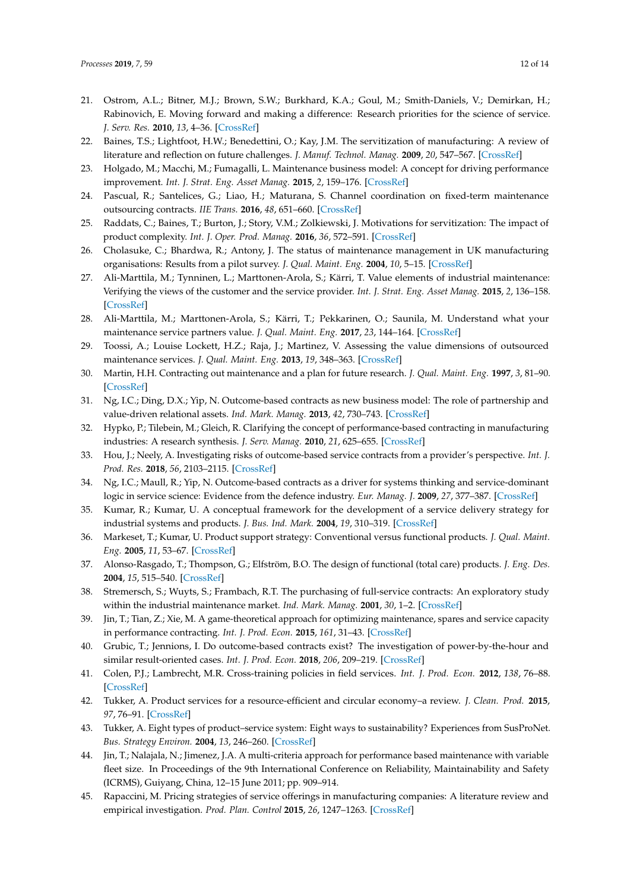- <span id="page-11-0"></span>21. Ostrom, A.L.; Bitner, M.J.; Brown, S.W.; Burkhard, K.A.; Goul, M.; Smith-Daniels, V.; Demirkan, H.; Rabinovich, E. Moving forward and making a difference: Research priorities for the science of service. *J. Serv. Res.* **2010**, *13*, 4–36. [\[CrossRef\]](http://dx.doi.org/10.1177/1094670509357611)
- <span id="page-11-1"></span>22. Baines, T.S.; Lightfoot, H.W.; Benedettini, O.; Kay, J.M. The servitization of manufacturing: A review of literature and reflection on future challenges. *J. Manuf. Technol. Manag.* **2009**, *20*, 547–567. [\[CrossRef\]](http://dx.doi.org/10.1108/17410380910960984)
- <span id="page-11-2"></span>23. Holgado, M.; Macchi, M.; Fumagalli, L. Maintenance business model: A concept for driving performance improvement. *Int. J. Strat. Eng. Asset Manag.* **2015**, *2*, 159–176. [\[CrossRef\]](http://dx.doi.org/10.1504/IJSEAM.2015.070623)
- <span id="page-11-3"></span>24. Pascual, R.; Santelices, G.; Liao, H.; Maturana, S. Channel coordination on fixed-term maintenance outsourcing contracts. *IIE Trans.* **2016**, *48*, 651–660. [\[CrossRef\]](http://dx.doi.org/10.1080/0740817X.2015.1122255)
- <span id="page-11-4"></span>25. Raddats, C.; Baines, T.; Burton, J.; Story, V.M.; Zolkiewski, J. Motivations for servitization: The impact of product complexity. *Int. J. Oper. Prod. Manag.* **2016**, *36*, 572–591. [\[CrossRef\]](http://dx.doi.org/10.1108/IJOPM-09-2014-0447)
- <span id="page-11-5"></span>26. Cholasuke, C.; Bhardwa, R.; Antony, J. The status of maintenance management in UK manufacturing organisations: Results from a pilot survey. *J. Qual. Maint. Eng.* **2004**, *10*, 5–15. [\[CrossRef\]](http://dx.doi.org/10.1108/13552510410526820)
- <span id="page-11-6"></span>27. Ali-Marttila, M.; Tynninen, L.; Marttonen-Arola, S.; Kärri, T. Value elements of industrial maintenance: Verifying the views of the customer and the service provider. *Int. J. Strat. Eng. Asset Manag.* **2015**, *2*, 136–158. [\[CrossRef\]](http://dx.doi.org/10.1504/IJSEAM.2015.070622)
- 28. Ali-Marttila, M.; Marttonen-Arola, S.; Kärri, T.; Pekkarinen, O.; Saunila, M. Understand what your maintenance service partners value. *J. Qual. Maint. Eng.* **2017**, *23*, 144–164. [\[CrossRef\]](http://dx.doi.org/10.1108/JQME-08-2016-0035)
- <span id="page-11-7"></span>29. Toossi, A.; Louise Lockett, H.Z.; Raja, J.; Martinez, V. Assessing the value dimensions of outsourced maintenance services. *J. Qual. Maint. Eng.* **2013**, *19*, 348–363. [\[CrossRef\]](http://dx.doi.org/10.1108/JQME-04-2013-0021)
- <span id="page-11-8"></span>30. Martin, H.H. Contracting out maintenance and a plan for future research. *J. Qual. Maint. Eng.* **1997**, *3*, 81–90. [\[CrossRef\]](http://dx.doi.org/10.1108/13552519710167700)
- <span id="page-11-9"></span>31. Ng, I.C.; Ding, D.X.; Yip, N. Outcome-based contracts as new business model: The role of partnership and value-driven relational assets. *Ind. Mark. Manag.* **2013**, *42*, 730–743. [\[CrossRef\]](http://dx.doi.org/10.1016/j.indmarman.2013.05.009)
- <span id="page-11-10"></span>32. Hypko, P.; Tilebein, M.; Gleich, R. Clarifying the concept of performance-based contracting in manufacturing industries: A research synthesis. *J. Serv. Manag.* **2010**, *21*, 625–655. [\[CrossRef\]](http://dx.doi.org/10.1108/09564231011079075)
- <span id="page-11-11"></span>33. Hou, J.; Neely, A. Investigating risks of outcome-based service contracts from a provider's perspective. *Int. J. Prod. Res.* **2018**, *56*, 2103–2115. [\[CrossRef\]](http://dx.doi.org/10.1080/00207543.2017.1319089)
- <span id="page-11-12"></span>34. Ng, I.C.; Maull, R.; Yip, N. Outcome-based contracts as a driver for systems thinking and service-dominant logic in service science: Evidence from the defence industry. *Eur. Manag. J.* **2009**, *27*, 377–387. [\[CrossRef\]](http://dx.doi.org/10.1016/j.emj.2009.05.002)
- <span id="page-11-13"></span>35. Kumar, R.; Kumar, U. A conceptual framework for the development of a service delivery strategy for industrial systems and products. *J. Bus. Ind. Mark.* **2004**, *19*, 310–319. [\[CrossRef\]](http://dx.doi.org/10.1108/08858620410549938)
- <span id="page-11-14"></span>36. Markeset, T.; Kumar, U. Product support strategy: Conventional versus functional products. *J. Qual. Maint. Eng.* **2005**, *11*, 53–67. [\[CrossRef\]](http://dx.doi.org/10.1108/13552510510589370)
- <span id="page-11-15"></span>37. Alonso-Rasgado, T.; Thompson, G.; Elfström, B.O. The design of functional (total care) products. *J. Eng. Des.* **2004**, *15*, 515–540. [\[CrossRef\]](http://dx.doi.org/10.1080/09544820412331271176)
- <span id="page-11-16"></span>38. Stremersch, S.; Wuyts, S.; Frambach, R.T. The purchasing of full-service contracts: An exploratory study within the industrial maintenance market. *Ind. Mark. Manag.* **2001**, *30*, 1–2. [\[CrossRef\]](http://dx.doi.org/10.1016/S0019-8501(99)00090-5)
- <span id="page-11-17"></span>39. Jin, T.; Tian, Z.; Xie, M. A game-theoretical approach for optimizing maintenance, spares and service capacity in performance contracting. *Int. J. Prod. Econ.* **2015**, *161*, 31–43. [\[CrossRef\]](http://dx.doi.org/10.1016/j.ijpe.2014.11.010)
- <span id="page-11-18"></span>40. Grubic, T.; Jennions, I. Do outcome-based contracts exist? The investigation of power-by-the-hour and similar result-oriented cases. *Int. J. Prod. Econ.* **2018**, *206*, 209–219. [\[CrossRef\]](http://dx.doi.org/10.1016/j.ijpe.2018.10.004)
- <span id="page-11-19"></span>41. Colen, P.J.; Lambrecht, M.R. Cross-training policies in field services. *Int. J. Prod. Econ.* **2012**, *138*, 76–88. [\[CrossRef\]](http://dx.doi.org/10.1016/j.ijpe.2012.03.003)
- <span id="page-11-20"></span>42. Tukker, A. Product services for a resource-efficient and circular economy–a review. *J. Clean. Prod.* **2015**, *97*, 76–91. [\[CrossRef\]](http://dx.doi.org/10.1016/j.jclepro.2013.11.049)
- 43. Tukker, A. Eight types of product–service system: Eight ways to sustainability? Experiences from SusProNet. *Bus. Strategy Environ.* **2004**, *13*, 246–260. [\[CrossRef\]](http://dx.doi.org/10.1002/bse.414)
- <span id="page-11-21"></span>44. Jin, T.; Nalajala, N.; Jimenez, J.A. A multi-criteria approach for performance based maintenance with variable fleet size. In Proceedings of the 9th International Conference on Reliability, Maintainability and Safety (ICRMS), Guiyang, China, 12–15 June 2011; pp. 909–914.
- <span id="page-11-22"></span>45. Rapaccini, M. Pricing strategies of service offerings in manufacturing companies: A literature review and empirical investigation. *Prod. Plan. Control* **2015**, *26*, 1247–1263. [\[CrossRef\]](http://dx.doi.org/10.1080/09537287.2015.1033495)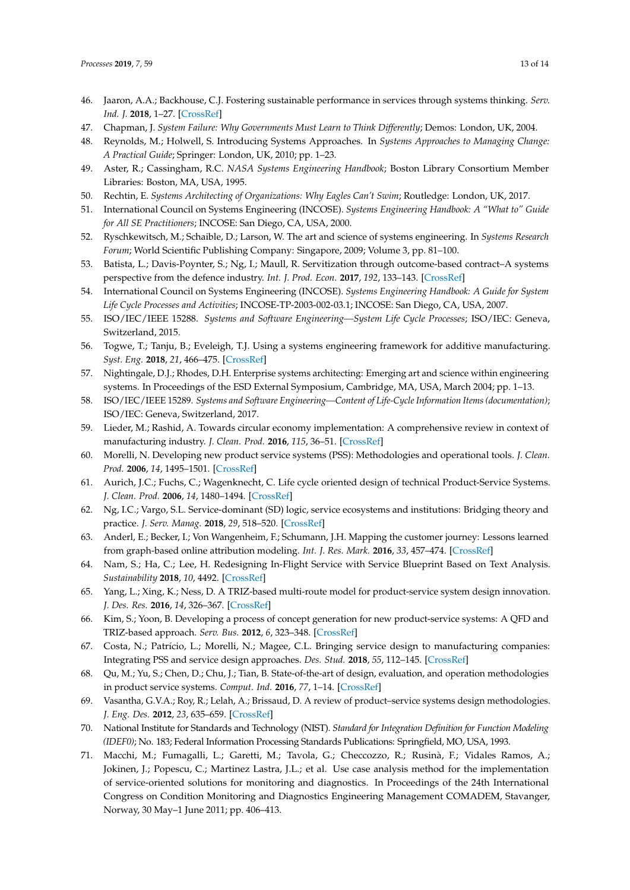- <span id="page-12-0"></span>46. Jaaron, A.A.; Backhouse, C.J. Fostering sustainable performance in services through systems thinking. *Serv. Ind. J.* **2018**, 1–27. [\[CrossRef\]](http://dx.doi.org/10.1080/02642069.2018.1551371)
- <span id="page-12-1"></span>47. Chapman, J. *System Failure: Why Governments Must Learn to Think Differently*; Demos: London, UK, 2004.
- <span id="page-12-2"></span>48. Reynolds, M.; Holwell, S. Introducing Systems Approaches. In *Systems Approaches to Managing Change: A Practical Guide*; Springer: London, UK, 2010; pp. 1–23.
- <span id="page-12-3"></span>49. Aster, R.; Cassingham, R.C. *NASA Systems Engineering Handbook*; Boston Library Consortium Member Libraries: Boston, MA, USA, 1995.
- <span id="page-12-4"></span>50. Rechtin, E. *Systems Architecting of Organizations: Why Eagles Can't Swim*; Routledge: London, UK, 2017.
- <span id="page-12-5"></span>51. International Council on Systems Engineering (INCOSE). *Systems Engineering Handbook: A "What to" Guide for All SE Practitioners*; INCOSE: San Diego, CA, USA, 2000.
- <span id="page-12-6"></span>52. Ryschkewitsch, M.; Schaible, D.; Larson, W. The art and science of systems engineering. In *Systems Research Forum*; World Scientific Publishing Company: Singapore, 2009; Volume 3, pp. 81–100.
- <span id="page-12-7"></span>53. Batista, L.; Davis-Poynter, S.; Ng, I.; Maull, R. Servitization through outcome-based contract–A systems perspective from the defence industry. *Int. J. Prod. Econ.* **2017**, *192*, 133–143. [\[CrossRef\]](http://dx.doi.org/10.1016/j.ijpe.2016.12.005)
- <span id="page-12-8"></span>54. International Council on Systems Engineering (INCOSE). *Systems Engineering Handbook: A Guide for System Life Cycle Processes and Activities*; INCOSE-TP-2003-002-03.1; INCOSE: San Diego, CA, USA, 2007.
- <span id="page-12-9"></span>55. ISO/IEC/IEEE 15288. *Systems and Software Engineering—System Life Cycle Processes*; ISO/IEC: Geneva, Switzerland, 2015.
- <span id="page-12-10"></span>56. Togwe, T.; Tanju, B.; Eveleigh, T.J. Using a systems engineering framework for additive manufacturing. *Syst. Eng.* **2018**, *21*, 466–475. [\[CrossRef\]](http://dx.doi.org/10.1002/sys.21447)
- <span id="page-12-11"></span>57. Nightingale, D.J.; Rhodes, D.H. Enterprise systems architecting: Emerging art and science within engineering systems. In Proceedings of the ESD External Symposium, Cambridge, MA, USA, March 2004; pp. 1–13.
- <span id="page-12-12"></span>58. ISO/IEC/IEEE 15289. *Systems and Software Engineering—Content of Life-Cycle Information Items (documentation)*; ISO/IEC: Geneva, Switzerland, 2017.
- <span id="page-12-13"></span>59. Lieder, M.; Rashid, A. Towards circular economy implementation: A comprehensive review in context of manufacturing industry. *J. Clean. Prod.* **2016**, *115*, 36–51. [\[CrossRef\]](http://dx.doi.org/10.1016/j.jclepro.2015.12.042)
- <span id="page-12-14"></span>60. Morelli, N. Developing new product service systems (PSS): Methodologies and operational tools. *J. Clean. Prod.* **2006**, *14*, 1495–1501. [\[CrossRef\]](http://dx.doi.org/10.1016/j.jclepro.2006.01.023)
- <span id="page-12-15"></span>61. Aurich, J.C.; Fuchs, C.; Wagenknecht, C. Life cycle oriented design of technical Product-Service Systems. *J. Clean. Prod.* **2006**, *14*, 1480–1494. [\[CrossRef\]](http://dx.doi.org/10.1016/j.jclepro.2006.01.019)
- <span id="page-12-16"></span>62. Ng, I.C.; Vargo, S.L. Service-dominant (SD) logic, service ecosystems and institutions: Bridging theory and practice. *J. Serv. Manag.* **2018**, *29*, 518–520. [\[CrossRef\]](http://dx.doi.org/10.1108/JOSM-07-2018-412)
- <span id="page-12-17"></span>63. Anderl, E.; Becker, I.; Von Wangenheim, F.; Schumann, J.H. Mapping the customer journey: Lessons learned from graph-based online attribution modeling. *Int. J. Res. Mark.* **2016**, *33*, 457–474. [\[CrossRef\]](http://dx.doi.org/10.1016/j.ijresmar.2016.03.001)
- <span id="page-12-18"></span>64. Nam, S.; Ha, C.; Lee, H. Redesigning In-Flight Service with Service Blueprint Based on Text Analysis. *Sustainability* **2018**, *10*, 4492. [\[CrossRef\]](http://dx.doi.org/10.3390/su10124492)
- <span id="page-12-19"></span>65. Yang, L.; Xing, K.; Ness, D. A TRIZ-based multi-route model for product-service system design innovation. *J. Des. Res.* **2016**, *14*, 326–367. [\[CrossRef\]](http://dx.doi.org/10.1504/JDR.2016.082028)
- <span id="page-12-20"></span>66. Kim, S.; Yoon, B. Developing a process of concept generation for new product-service systems: A QFD and TRIZ-based approach. *Serv. Bus.* **2012**, *6*, 323–348. [\[CrossRef\]](http://dx.doi.org/10.1007/s11628-012-0138-x)
- <span id="page-12-21"></span>67. Costa, N.; Patrício, L.; Morelli, N.; Magee, C.L. Bringing service design to manufacturing companies: Integrating PSS and service design approaches. *Des. Stud.* **2018**, *55*, 112–145. [\[CrossRef\]](http://dx.doi.org/10.1016/j.destud.2017.09.002)
- 68. Qu, M.; Yu, S.; Chen, D.; Chu, J.; Tian, B. State-of-the-art of design, evaluation, and operation methodologies in product service systems. *Comput. Ind.* **2016**, *77*, 1–14. [\[CrossRef\]](http://dx.doi.org/10.1016/j.compind.2015.12.004)
- <span id="page-12-22"></span>69. Vasantha, G.V.A.; Roy, R.; Lelah, A.; Brissaud, D. A review of product–service systems design methodologies. *J. Eng. Des.* **2012**, *23*, 635–659. [\[CrossRef\]](http://dx.doi.org/10.1080/09544828.2011.639712)
- <span id="page-12-23"></span>70. National Institute for Standards and Technology (NIST). *Standard for Integration Definition for Function Modeling (IDEF0)*; No. 183; Federal Information Processing Standards Publications: Springfield, MO, USA, 1993.
- <span id="page-12-24"></span>71. Macchi, M.; Fumagalli, L.; Garetti, M.; Tavola, G.; Checcozzo, R.; Rusinà, F.; Vidales Ramos, A.; Jokinen, J.; Popescu, C.; Martinez Lastra, J.L.; et al. Use case analysis method for the implementation of service-oriented solutions for monitoring and diagnostics. In Proceedings of the 24th International Congress on Condition Monitoring and Diagnostics Engineering Management COMADEM, Stavanger, Norway, 30 May–1 June 2011; pp. 406–413.